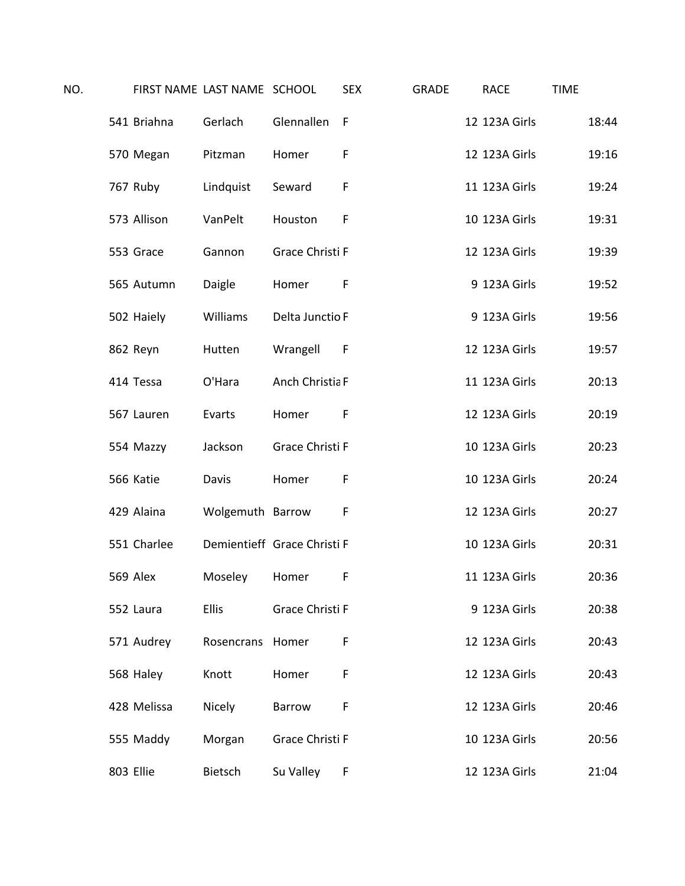| NO. |           |             | FIRST NAME LAST NAME SCHOOL |                             | <b>SEX</b> | <b>GRADE</b> | <b>RACE</b>   | <b>TIME</b> |
|-----|-----------|-------------|-----------------------------|-----------------------------|------------|--------------|---------------|-------------|
|     |           | 541 Briahna | Gerlach                     | Glennallen                  | F          |              | 12 123A Girls | 18:44       |
|     |           | 570 Megan   | Pitzman                     | Homer                       | F          |              | 12 123A Girls | 19:16       |
|     |           | 767 Ruby    | Lindquist                   | Seward                      | F          |              | 11 123A Girls | 19:24       |
|     |           | 573 Allison | VanPelt                     | Houston                     | F          |              | 10 123A Girls | 19:31       |
|     |           | 553 Grace   | Gannon                      | Grace Christi F             |            |              | 12 123A Girls | 19:39       |
|     |           | 565 Autumn  | Daigle                      | Homer                       | F          |              | 9 123A Girls  | 19:52       |
|     |           | 502 Haiely  | Williams                    | Delta Junctio F             |            |              | 9 123A Girls  | 19:56       |
|     |           | 862 Reyn    | Hutten                      | Wrangell                    | - F        |              | 12 123A Girls | 19:57       |
|     |           | 414 Tessa   | O'Hara                      | Anch Christia F             |            |              | 11 123A Girls | 20:13       |
|     |           | 567 Lauren  | Evarts                      | Homer                       | F          |              | 12 123A Girls | 20:19       |
|     |           | 554 Mazzy   | Jackson                     | Grace Christi F             |            |              | 10 123A Girls | 20:23       |
|     |           | 566 Katie   | Davis                       | Homer                       | F          |              | 10 123A Girls | 20:24       |
|     |           | 429 Alaina  | Wolgemuth Barrow            |                             | F          |              | 12 123A Girls | 20:27       |
|     |           | 551 Charlee |                             | Demientieff Grace Christi F |            |              | 10 123A Girls | 20:31       |
|     | 569 Alex  |             | Moseley                     | Homer                       | F          |              | 11 123A Girls | 20:36       |
|     |           | 552 Laura   | <b>Ellis</b>                | Grace Christi F             |            |              | 9 123A Girls  | 20:38       |
|     |           | 571 Audrey  | Rosencrans Homer            |                             | F          |              | 12 123A Girls | 20:43       |
|     |           | 568 Haley   | Knott                       | Homer                       | F          |              | 12 123A Girls | 20:43       |
|     |           | 428 Melissa | Nicely                      | <b>Barrow</b>               | F          |              | 12 123A Girls | 20:46       |
|     |           | 555 Maddy   | Morgan                      | Grace Christi F             |            |              | 10 123A Girls | 20:56       |
|     | 803 Ellie |             | Bietsch                     | Su Valley                   | F          |              | 12 123A Girls | 21:04       |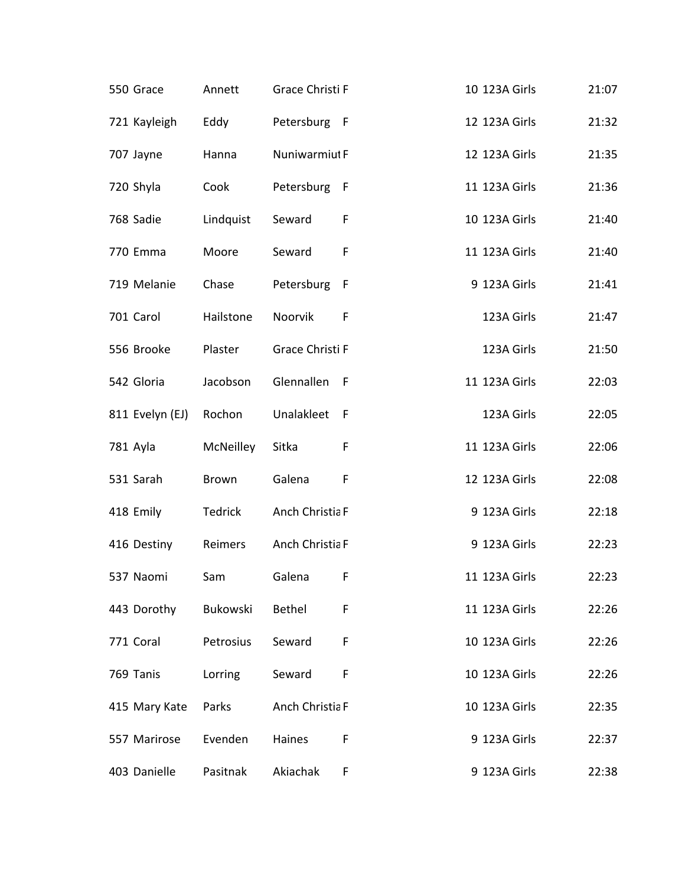| 550 Grace       | Annett    | Grace Christi F |              | 10 123A Girls | 21:07 |
|-----------------|-----------|-----------------|--------------|---------------|-------|
| 721 Kayleigh    | Eddy      | Petersburg F    |              | 12 123A Girls | 21:32 |
| 707 Jayne       | Hanna     | Nuniwarmiut F   |              | 12 123A Girls | 21:35 |
| 720 Shyla       | Cook      | Petersburg F    |              | 11 123A Girls | 21:36 |
| 768 Sadie       | Lindquist | Seward          | F            | 10 123A Girls | 21:40 |
| 770 Emma        | Moore     | Seward          | F            | 11 123A Girls | 21:40 |
| 719 Melanie     | Chase     | Petersburg      | $\mathsf{F}$ | 9 123A Girls  | 21:41 |
| 701 Carol       | Hailstone | Noorvik         | F            | 123A Girls    | 21:47 |
| 556 Brooke      | Plaster   | Grace Christi F |              | 123A Girls    | 21:50 |
| 542 Gloria      | Jacobson  | Glennallen F    |              | 11 123A Girls | 22:03 |
| 811 Evelyn (EJ) | Rochon    | Unalakleet F    |              | 123A Girls    | 22:05 |
| 781 Ayla        | McNeilley | Sitka           | F            | 11 123A Girls | 22:06 |
| 531 Sarah       | Brown     | Galena          | F            | 12 123A Girls | 22:08 |
| 418 Emily       | Tedrick   | Anch Christia F |              | 9 123A Girls  | 22:18 |
| 416 Destiny     | Reimers   | Anch Christia F |              | 9 123A Girls  | 22:23 |
| 537 Naomi       | Sam       | Galena          | F            | 11 123A Girls | 22:23 |
| 443 Dorothy     | Bukowski  | Bethel          | F            | 11 123A Girls | 22:26 |
| 771 Coral       | Petrosius | Seward          | F            | 10 123A Girls | 22:26 |
| 769 Tanis       | Lorring   | Seward          | F            | 10 123A Girls | 22:26 |
| 415 Mary Kate   | Parks     | Anch Christia F |              | 10 123A Girls | 22:35 |
| 557 Marirose    | Evenden   | Haines          | F            | 9 123A Girls  | 22:37 |
| 403 Danielle    | Pasitnak  | Akiachak        | F            | 9 123A Girls  | 22:38 |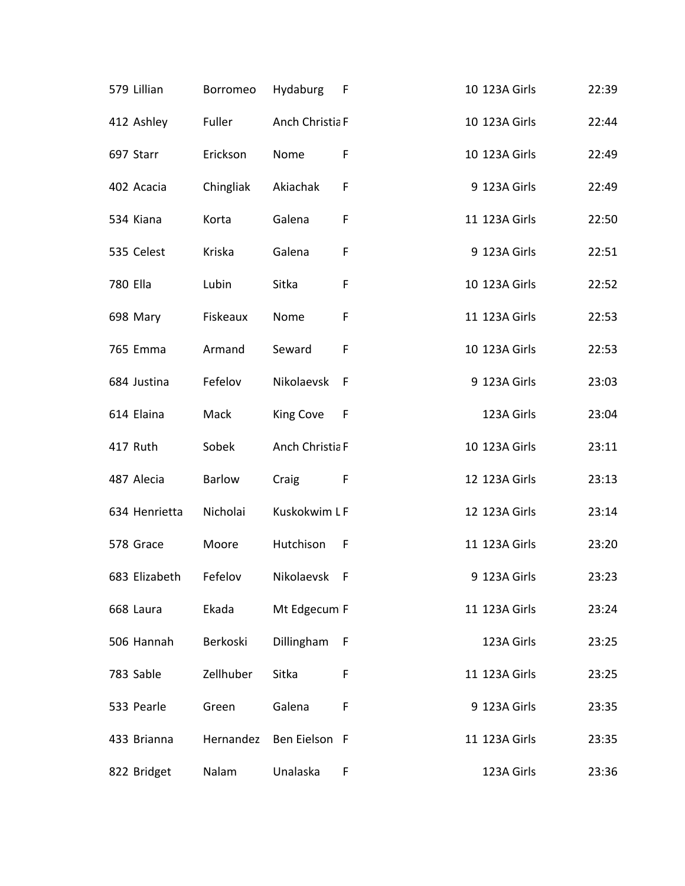| 579 Lillian   | Borromeo  | Hydaburg        | – F | 10 123A Girls | 22:39 |
|---------------|-----------|-----------------|-----|---------------|-------|
| 412 Ashley    | Fuller    | Anch Christia F |     | 10 123A Girls | 22:44 |
| 697 Starr     | Erickson  | Nome            | F   | 10 123A Girls | 22:49 |
| 402 Acacia    | Chingliak | Akiachak        | F   | 9 123A Girls  | 22:49 |
| 534 Kiana     | Korta     | Galena          | F   | 11 123A Girls | 22:50 |
| 535 Celest    | Kriska    | Galena          | F   | 9 123A Girls  | 22:51 |
| 780 Ella      | Lubin     | Sitka           | F   | 10 123A Girls | 22:52 |
| 698 Mary      | Fiskeaux  | Nome            | F   | 11 123A Girls | 22:53 |
| 765 Emma      | Armand    | Seward          | F   | 10 123A Girls | 22:53 |
| 684 Justina   | Fefelov   | Nikolaevsk      | - F | 9 123A Girls  | 23:03 |
| 614 Elaina    | Mack      | King Cove       | - F | 123A Girls    | 23:04 |
| 417 Ruth      | Sobek     | Anch Christia F |     | 10 123A Girls | 23:11 |
| 487 Alecia    | Barlow    | Craig           | F   | 12 123A Girls | 23:13 |
| 634 Henrietta | Nicholai  | Kuskokwim LF    |     | 12 123A Girls | 23:14 |
| 578 Grace     | Moore     | Hutchison F     |     | 11 123A Girls | 23:20 |
| 683 Elizabeth | Fefelov   | Nikolaevsk      | - F | 9 123A Girls  | 23:23 |
| 668 Laura     | Ekada     | Mt Edgecum F    |     | 11 123A Girls | 23:24 |
| 506 Hannah    | Berkoski  | Dillingham      | F   | 123A Girls    | 23:25 |
| 783 Sable     | Zellhuber | Sitka           | F   | 11 123A Girls | 23:25 |
| 533 Pearle    | Green     | Galena          | F   | 9 123A Girls  | 23:35 |
| 433 Brianna   | Hernandez | Ben Eielson F   |     | 11 123A Girls | 23:35 |
| 822 Bridget   | Nalam     | Unalaska        | F   | 123A Girls    | 23:36 |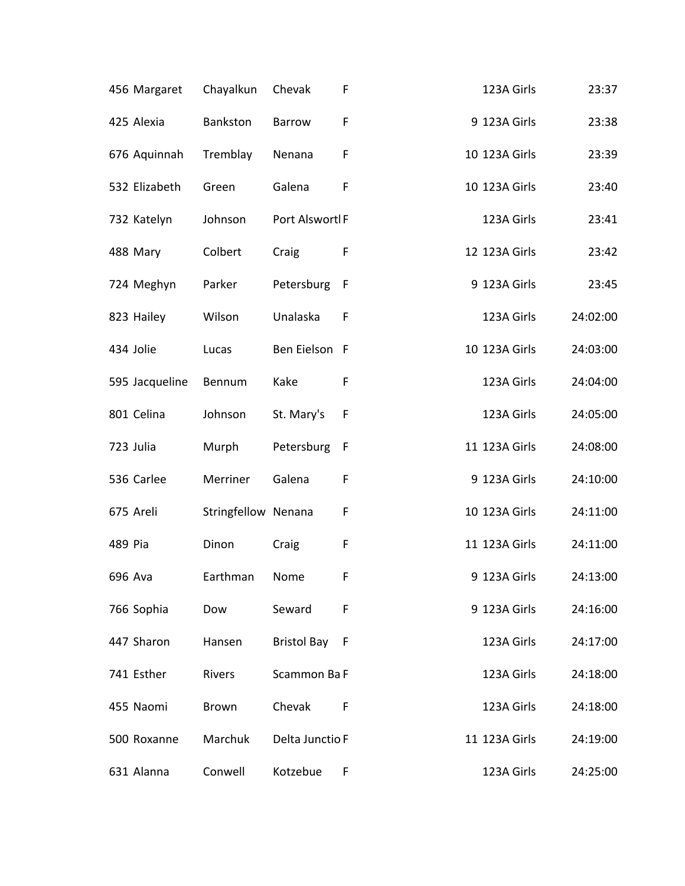| 456 Margaret   | Chayalkun           | Chevak             | F   | 123A Girls    | 23:37    |
|----------------|---------------------|--------------------|-----|---------------|----------|
| 425 Alexia     | Bankston            | <b>Barrow</b>      | F   | 9 123A Girls  | 23:38    |
| 676 Aquinnah   | Tremblay            | Nenana             | F   | 10 123A Girls | 23:39    |
| 532 Elizabeth  | Green               | Galena             | F   | 10 123A Girls | 23:40    |
| 732 Katelyn    | Johnson             | Port Alswortl F    |     | 123A Girls    | 23:41    |
| 488 Mary       | Colbert             | Craig              | F   | 12 123A Girls | 23:42    |
| 724 Meghyn     | Parker              | Petersburg         | F   | 9 123A Girls  | 23:45    |
| 823 Hailey     | Wilson              | Unalaska           | F   | 123A Girls    | 24:02:00 |
| 434 Jolie      | Lucas               | Ben Eielson F      |     | 10 123A Girls | 24:03:00 |
| 595 Jacqueline | Bennum              | Kake               | F   | 123A Girls    | 24:04:00 |
| 801 Celina     | Johnson             | St. Mary's         | F   | 123A Girls    | 24:05:00 |
| 723 Julia      | Murph               | Petersburg         | F   | 11 123A Girls | 24:08:00 |
| 536 Carlee     | Merriner            | Galena             | F   | 9 123A Girls  | 24:10:00 |
| 675 Areli      | Stringfellow Nenana |                    | F   | 10 123A Girls | 24:11:00 |
| 489 Pia        | Dinon               | Craig              | F   | 11 123A Girls | 24:11:00 |
| 696 Ava        | Earthman            | Nome               | F   | 9 123A Girls  | 24:13:00 |
| 766 Sophia     | Dow                 | Seward             | F   | 9 123A Girls  | 24:16:00 |
| 447 Sharon     | Hansen              | <b>Bristol Bay</b> | - F | 123A Girls    | 24:17:00 |
| 741 Esther     | Rivers              | Scammon Ba F       |     | 123A Girls    | 24:18:00 |
| 455 Naomi      | Brown               | Chevak             | F   | 123A Girls    | 24:18:00 |
| 500 Roxanne    | Marchuk             | Delta Junctio F    |     | 11 123A Girls | 24:19:00 |
| 631 Alanna     | Conwell             | Kotzebue           | F   | 123A Girls    | 24:25:00 |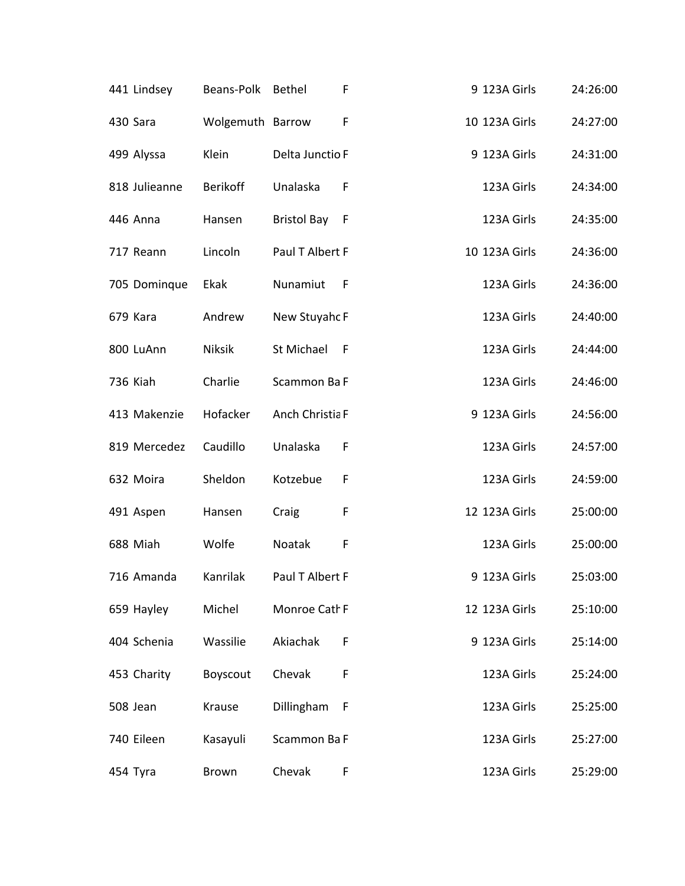| 441 Lindsey   | Beans-Polk       | Bethel          | F            | 9 123A Girls  | 24:26:00 |
|---------------|------------------|-----------------|--------------|---------------|----------|
| 430 Sara      | Wolgemuth Barrow |                 | F            | 10 123A Girls | 24:27:00 |
| 499 Alyssa    | Klein            | Delta Junctio F |              | 9 123A Girls  | 24:31:00 |
| 818 Julieanne | <b>Berikoff</b>  | Unalaska        | $\mathsf{F}$ | 123A Girls    | 24:34:00 |
| 446 Anna      | Hansen           | Bristol Bay F   |              | 123A Girls    | 24:35:00 |
| 717 Reann     | Lincoln          | Paul T Albert F |              | 10 123A Girls | 24:36:00 |
| 705 Dominque  | Ekak             | Nunamiut        | – F          | 123A Girls    | 24:36:00 |
| 679 Kara      | Andrew           | New Stuyahc F   |              | 123A Girls    | 24:40:00 |
| 800 LuAnn     | Niksik           | St Michael F    |              | 123A Girls    | 24:44:00 |
| 736 Kiah      | Charlie          | Scammon Ba F    |              | 123A Girls    | 24:46:00 |
| 413 Makenzie  | Hofacker         | Anch Christia F |              | 9 123A Girls  | 24:56:00 |
| 819 Mercedez  | Caudillo         | Unalaska        | F            | 123A Girls    | 24:57:00 |
| 632 Moira     | Sheldon          | Kotzebue        | F            | 123A Girls    | 24:59:00 |
| 491 Aspen     | Hansen           | Craig           | F            | 12 123A Girls | 25:00:00 |
| 688 Miah      | Wolfe            | Noatak          | F            | 123A Girls    | 25:00:00 |
| 716 Amanda    | Kanrilak         | Paul T Albert F |              | 9 123A Girls  | 25:03:00 |
| 659 Hayley    | Michel           | Monroe Cath F   |              | 12 123A Girls | 25:10:00 |
| 404 Schenia   | Wassilie         | Akiachak        | F            | 9 123A Girls  | 25:14:00 |
| 453 Charity   | Boyscout         | Chevak          | F            | 123A Girls    | 25:24:00 |
| 508 Jean      | Krause           | Dillingham      | F            | 123A Girls    | 25:25:00 |
| 740 Eileen    | Kasayuli         | Scammon Ba F    |              | 123A Girls    | 25:27:00 |
| 454 Tyra      | Brown            | Chevak          | F            | 123A Girls    | 25:29:00 |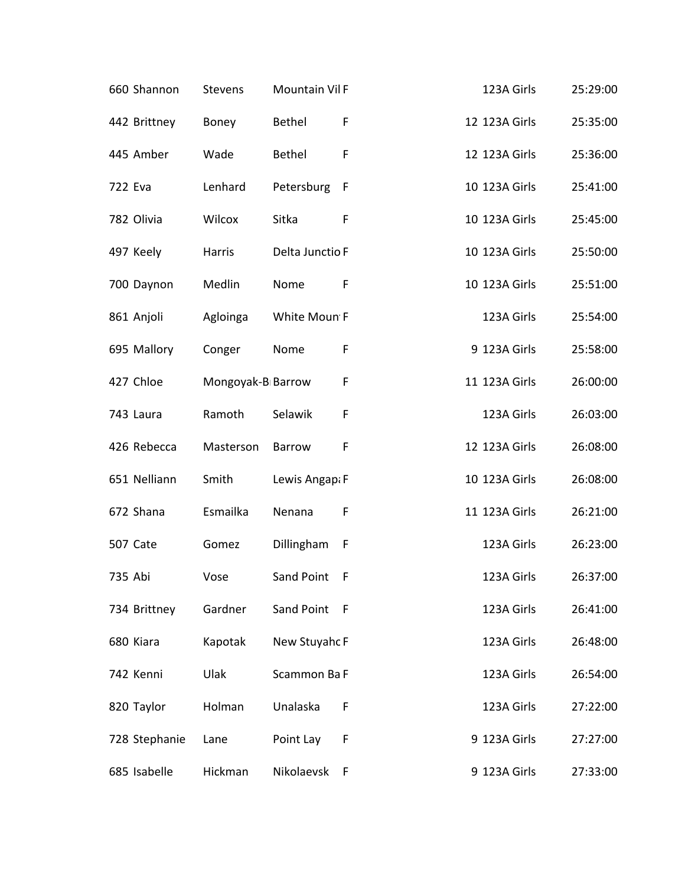| 660 Shannon   | <b>Stevens</b>    | <b>Mountain Vil F</b> |   | 123A Girls    | 25:29:00 |
|---------------|-------------------|-----------------------|---|---------------|----------|
| 442 Brittney  | Boney             | <b>Bethel</b>         | F | 12 123A Girls | 25:35:00 |
| 445 Amber     | Wade              | <b>Bethel</b>         | F | 12 123A Girls | 25:36:00 |
| 722 Eva       | Lenhard           | Petersburg F          |   | 10 123A Girls | 25:41:00 |
| 782 Olivia    | Wilcox            | Sitka                 | F | 10 123A Girls | 25:45:00 |
| 497 Keely     | Harris            | Delta Junctio F       |   | 10 123A Girls | 25:50:00 |
| 700 Daynon    | Medlin            | Nome                  | F | 10 123A Girls | 25:51:00 |
| 861 Anjoli    | Agloinga          | White Moun F          |   | 123A Girls    | 25:54:00 |
| 695 Mallory   | Conger            | Nome                  | F | 9 123A Girls  | 25:58:00 |
| 427 Chloe     | Mongoyak-B Barrow |                       | F | 11 123A Girls | 26:00:00 |
| 743 Laura     | Ramoth            | Selawik               | F | 123A Girls    | 26:03:00 |
| 426 Rebecca   | Masterson         | Barrow                | F | 12 123A Girls | 26:08:00 |
| 651 Nelliann  | Smith             | Lewis Angap: F        |   | 10 123A Girls | 26:08:00 |
| 672 Shana     | Esmailka          | Nenana                | F | 11 123A Girls | 26:21:00 |
| 507 Cate      | Gomez             | Dillingham            | F | 123A Girls    | 26:23:00 |
| 735 Abi       | Vose              | Sand Point            | F | 123A Girls    | 26:37:00 |
| 734 Brittney  | Gardner           | Sand Point F          |   | 123A Girls    | 26:41:00 |
| 680 Kiara     | Kapotak           | New Stuyahc F         |   | 123A Girls    | 26:48:00 |
| 742 Kenni     | Ulak              | Scammon Ba F          |   | 123A Girls    | 26:54:00 |
| 820 Taylor    | Holman            | Unalaska              | F | 123A Girls    | 27:22:00 |
| 728 Stephanie | Lane              | Point Lay             | F | 9 123A Girls  | 27:27:00 |
| 685 Isabelle  | Hickman           | Nikolaevsk            | F | 9 123A Girls  | 27:33:00 |